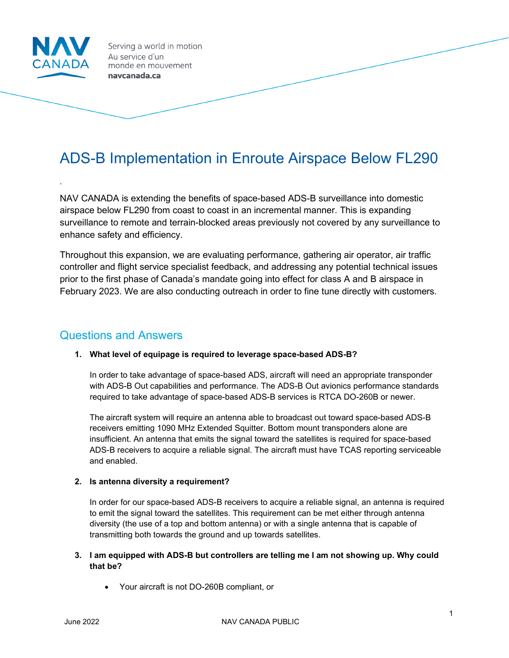

*.*

Serving a world in motion Au service d'un monde en mouvement navcanada.ca

# ADS-B Implementation in Enroute Airspace Below FL290

NAV CANADA is extending the benefits of space-based ADS-B surveillance into domestic airspace below FL290 from coast to coast in an incremental manner. This is expanding surveillance to remote and terrain-blocked areas previously not covered by any surveillance to enhance safety and efficiency.

Throughout this expansion, we are evaluating performance, gathering air operator, air traffic controller and flight service specialist feedback, and addressing any potential technical issues prior to the first phase of Canada's mandate going into effect for class A and B airspace in February 2023. We are also conducting outreach in order to fine tune directly with customers.

# Questions and Answers

#### **1. What level of equipage is required to leverage space-based ADS-B?**

In order to take advantage of space-based ADS, aircraft will need an appropriate transponder with ADS-B Out capabilities and performance. The ADS-B Out avionics performance standards required to take advantage of space-based ADS-B services is RTCA DO-260B or newer.

The aircraft system will require an antenna able to broadcast out toward space-based ADS-B receivers emitting 1090 MHz Extended Squitter. Bottom mount transponders alone are insufficient. An antenna that emits the signal toward the satellites is required for space-based ADS-B receivers to acquire a reliable signal. The aircraft must have TCAS reporting serviceable and enabled.

#### **2. Is antenna diversity a requirement?**

In order for our space-based ADS-B receivers to acquire a reliable signal, an antenna is required to emit the signal toward the satellites. This requirement can be met either through antenna diversity (the use of a top and bottom antenna) or with a single antenna that is capable of transmitting both towards the ground and up towards satellites.

#### **3. I am equipped with ADS-B but controllers are telling me I am not showing up. Why could that be?**

• Your aircraft is not DO-260B compliant, or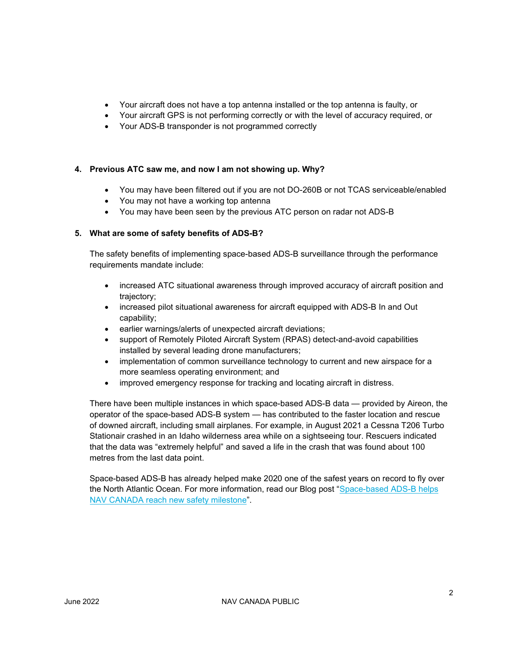- Your aircraft does not have a top antenna installed or the top antenna is faulty, or
- Your aircraft GPS is not performing correctly or with the level of accuracy required, or
- Your ADS-B transponder is not programmed correctly

#### **4. Previous ATC saw me, and now I am not showing up. Why?**

- You may have been filtered out if you are not DO-260B or not TCAS serviceable/enabled
- You may not have a working top antenna
- You may have been seen by the previous ATC person on radar not ADS-B

#### **5. What are some of safety benefits of ADS-B?**

The safety benefits of implementing space-based ADS-B surveillance through the performance requirements mandate include:

- increased ATC situational awareness through improved accuracy of aircraft position and trajectory;
- increased pilot situational awareness for aircraft equipped with ADS-B In and Out capability;
- earlier warnings/alerts of unexpected aircraft deviations;
- support of Remotely Piloted Aircraft System (RPAS) detect-and-avoid capabilities installed by several leading drone manufacturers;
- implementation of common surveillance technology to current and new airspace for a more seamless operating environment; and
- improved emergency response for tracking and locating aircraft in distress.

There have been multiple instances in which space-based ADS-B data — provided by Aireon, the operator of the space-based ADS-B system — has contributed to the faster location and rescue of downed aircraft, including small airplanes. For example, in August 2021 a Cessna T206 Turbo Stationair crashed in an Idaho wilderness area while on a sightseeing tour. Rescuers indicated that the data was "extremely helpful" and saved a life in the crash that was found about 100 metres from the last data point.

Space-based ADS-B has already helped make 2020 one of the safest years on record to fly over the North Atlantic Ocean. For more information, read our Blog post ["Space-based ADS-B helps](https://www.navcanada.ca/en/news/blog/space-based-ads-b-helps-nav-canada-reach-new-safety-milestone.aspx)  [NAV CANADA reach new safety milestone"](https://www.navcanada.ca/en/news/blog/space-based-ads-b-helps-nav-canada-reach-new-safety-milestone.aspx).